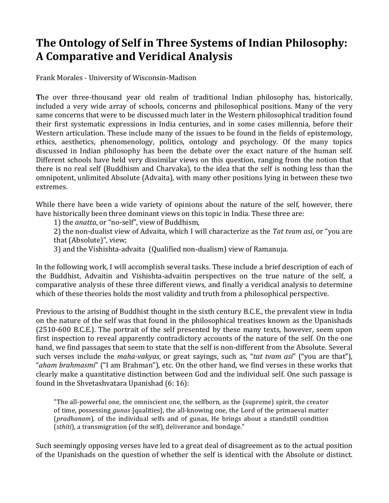## The Ontology of Self in Three Systems of Indian Philosophy: **A Comparative and Veridical Analysis**

Frank Morales - University of Wisconsin-Madison

The over three-thousand year old realm of traditional Indian philosophy has, historically, included a very wide array of schools, concerns and philosophical positions. Many of the very same concerns that were to be discussed much later in the Western philosophical tradition found their first systematic expressions in India centuries, and in some cases millennia, before their Western articulation. These include many of the issues to be found in the fields of epistemology, ethics, aesthetics, phenomenology, politics, ontology and psychology. Of the many topics discussed in Indian philosophy has been the debate over the exact nature of the human self. Different schools have held very dissimilar views on this question, ranging from the notion that there is no real self (Buddhism and Charvaka), to the idea that the self is nothing less than the omnipotent, unlimited Absolute (Advaita), with many other positions lying in between these two extremes. 

While there have been a wide variety of opinions about the nature of the self, however, there have historically been three dominant views on this topic in India. These three are:

1) the *anatta*, or "no-self", view of Buddhism,

2) the non-dualist view of Advaita, which I will characterize as the Tat tvam asi, or "you are that (Absolute)", view;

3) and the Vishishta-advaita (Qualified non-dualism) view of Ramanuja.

In the following work, I will accomplish several tasks. These include a brief description of each of the Buddhist, Advaitin and Vishishta-advaitin perspectives on the true nature of the self, a comparative analysis of these three different views, and finally a veridical analysis to determine which of these theories holds the most validity and truth from a philosophical perspective.

Previous to the arising of Buddhist thought in the sixth century B.C.E., the prevalent view in India on the nature of the self was that found in the philosophical treatises known as the Upanishads (2510-600 B.C.E.). The portrait of the self presented by these many texts, however, seem upon first inspection to reveal apparently contradictory accounts of the nature of the self. On the one hand, we find passages that seem to state that the self is non-different from the Absolute. Several such verses include the *maha-vakyas*, or great sayings, such as, "*tat tvam asi*" ("you are that"), "aham brahmasmi" ("I am Brahman"), etc. On the other hand, we find verses in these works that clearly make a quantitative distinction between God and the individual self. One such passage is found in the Shvetashvatara Upanishad  $(6:16)$ :

"The all-powerful one, the omniscient one, the selfborn, as the (supreme) spirit, the creator of time, possessing *gunas* [qualities], the all-knowing one, the Lord of the primaeval matter (*pradhanam*), of the individual selfs and of gunas, He brings about a standstill condition (*sthiti*), a transmigration (of the self), deliverance and bondage."

Such seemingly opposing verses have led to a great deal of disagreement as to the actual position of the Upanishads on the question of whether the self is identical with the Absolute or distinct.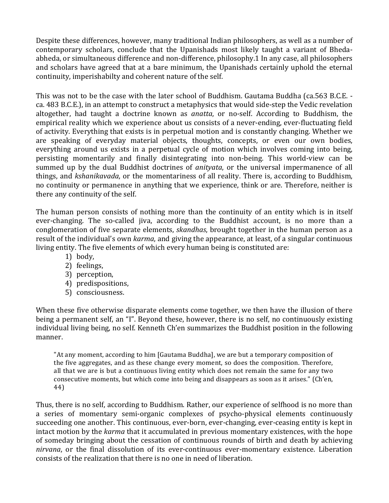Despite these differences, however, many traditional Indian philosophers, as well as a number of contemporary scholars, conclude that the Upanishads most likely taught a variant of Bhedaabheda, or simultaneous difference and non-difference, philosophy.1 In any case, all philosophers and scholars have agreed that at a bare minimum, the Upanishads certainly uphold the eternal continuity, imperishabilty and coherent nature of the self.

This was not to be the case with the later school of Buddhism. Gautama Buddha (ca.563 B.C.E. ca. 483 B.C.E.), in an attempt to construct a metaphysics that would side-step the Vedic revelation altogether, had taught a doctrine known as *anatta*, or no-self. According to Buddhism, the empirical reality which we experience about us consists of a never-ending, ever-fluctuating field of activity. Everything that exists is in perpetual motion and is constantly changing. Whether we are speaking of everyday material objects, thoughts, concepts, or even our own bodies, everything around us exists in a perpetual cycle of motion which involves coming into being, persisting momentarily and finally disintegrating into non-being. This world-view can be summed up by the dual Buddhist doctrines of *anityata*, or the universal impermanence of all things, and *kshanikavada*, or the momentariness of all reality. There is, according to Buddhism, no continuity or permanence in anything that we experience, think or are. Therefore, neither is there any continuity of the self.

The human person consists of nothing more than the continuity of an entity which is in itself ever-changing. The so-called jiva, according to the Buddhist account, is no more than a conglomeration of five separate elements, *skandhas*, brought together in the human person as a result of the individual's own *karma*, and giving the appearance, at least, of a singular continuous living entity. The five elements of which every human being is constituted are:

- 1) body,
- 2) feelings,
- 3) perception,
- 4) predispositions,
- 5) consciousness.

When these five otherwise disparate elements come together, we then have the illusion of there being a permanent self, an "I". Beyond these, however, there is no self, no continuously existing individual living being, no self. Kenneth Ch'en summarizes the Buddhist position in the following manner. 

"At any moment, according to him [Gautama Buddha], we are but a temporary composition of the five aggregates, and as these change every moment, so does the composition. Therefore, all that we are is but a continuous living entity which does not remain the same for any two consecutive moments, but which come into being and disappears as soon as it arises." (Ch'en, 44)

Thus, there is no self, according to Buddhism. Rather, our experience of selfhood is no more than a series of momentary semi-organic complexes of psycho-physical elements continuously succeeding one another. This continuous, ever-born, ever-changing, ever-ceasing entity is kept in intact motion by the *karma* that it accumulated in previous momentary existences, with the hope of someday bringing about the cessation of continuous rounds of birth and death by achieving *nirvana*, or the final dissolution of its ever-continuous ever-momentary existence. Liberation consists of the realization that there is no one in need of liberation.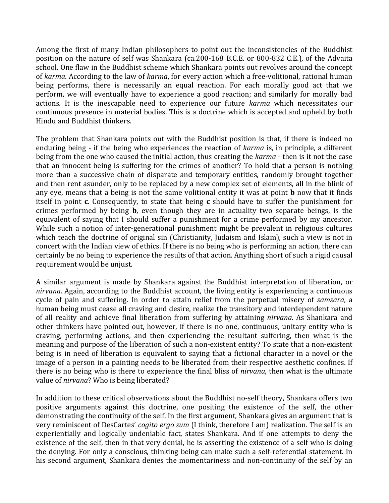Among the first of many Indian philosophers to point out the inconsistencies of the Buddhist position on the nature of self was Shankara (ca.200-168 B.C.E. or 800-832 C.E.), of the Advaita school. One flaw in the Buddhist scheme which Shankara points out revolves around the concept of *karma*. According to the law of *karma*, for every action which a free-volitional, rational human being performs, there is necessarily an equal reaction. For each morally good act that we perform, we will eventually have to experience a good reaction; and similarly for morally bad actions. It is the inescapable need to experience our future *karma* which necessitates our continuous presence in material bodies. This is a doctrine which is accepted and upheld by both Hindu and Buddhist thinkers.

The problem that Shankara points out with the Buddhist position is that, if there is indeed no enduring being - if the being who experiences the reaction of *karma* is, in principle, a different being from the one who caused the initial action, thus creating the *karma* - then is it not the case that an innocent being is suffering for the crimes of another? To hold that a person is nothing more than a successive chain of disparate and temporary entities, randomly brought together and then rent asunder, only to be replaced by a new complex set of elements, all in the blink of any eye, means that a being is not the same volitional entity it was at point **b** now that it finds itself in point **c**. Consequently, to state that being **c** should have to suffer the punishment for crimes performed by being **b**, even though they are in actuality two separate beings, is the equivalent of saying that I should suffer a punishment for a crime performed by my ancestor. While such a notion of inter-generational punishment might be prevalent in religious cultures which teach the doctrine of original sin (Christianity, Judaism and Islam), such a view is not in concert with the Indian view of ethics. If there is no being who is performing an action, there can certainly be no being to experience the results of that action. Anything short of such a rigid causal requirement would be unjust.

A similar argument is made by Shankara against the Buddhist interpretation of liberation, or *nirvana*. Again, according to the Buddhist account, the living entity is experiencing a continuous cycle of pain and suffering. In order to attain relief from the perpetual misery of *samsara*, a human being must cease all craving and desire, realize the transitory and interdependent nature of all reality and achieve final liberation from suffering by attaining *nirvana*. As Shankara and other thinkers have pointed out, however, if there is no one, continuous, unitary entity who is craving, performing actions, and then experiencing the resultant suffering, then what is the meaning and purpose of the liberation of such a non-existent entity? To state that a non-existent being is in need of liberation is equivalent to saying that a fictional character in a novel or the image of a person in a painting needs to be liberated from their respective aesthetic confines. If there is no being who is there to experience the final bliss of *nirvana*, then what is the ultimate value of *nirvana*? Who is being liberated?

In addition to these critical observations about the Buddhist no-self theory, Shankara offers two positive arguments against this doctrine, one positing the existence of the self, the other demonstrating the continuity of the self. In the first argument, Shankara gives an argument that is very reminiscent of DesCartes' *cogito ergo sum* (I think, therefore I am) realization. The self is an experientially and logically undeniable fact, states Shankara. And if one attempts to deny the existence of the self, then in that very denial, he is asserting the existence of a self who is doing the denying. For only a conscious, thinking being can make such a self-referential statement. In his second argument, Shankara denies the momentariness and non-continuity of the self by an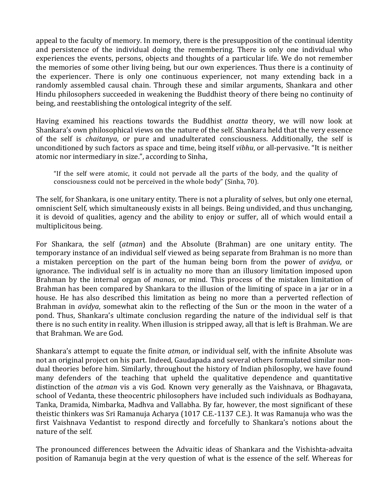appeal to the faculty of memory. In memory, there is the presupposition of the continual identity and persistence of the individual doing the remembering. There is only one individual who experiences the events, persons, objects and thoughts of a particular life. We do not remember the memories of some other living being, but our own experiences. Thus there is a continuity of the experiencer. There is only one continuous experiencer, not many extending back in a randomly assembled causal chain. Through these and similar arguments, Shankara and other Hindu philosophers succeeded in weakening the Buddhist theory of there being no continuity of being, and reestablishing the ontological integrity of the self.

Having examined his reactions towards the Buddhist *anatta* theory, we will now look at Shankara's own philosophical views on the nature of the self. Shankara held that the very essence of the self is *chaitanya*, or pure and unadulterated consciousness. Additionally, the self is unconditioned by such factors as space and time, being itself *vibhu*, or all-pervasive. "It is neither atomic nor intermediary in size.", according to Sinha,

"If the self were atomic, it could not pervade all the parts of the body, and the quality of consciousness could not be perceived in the whole body" (Sinha, 70).

The self, for Shankara, is one unitary entity. There is not a plurality of selves, but only one eternal, omniscient Self, which simultaneously exists in all beings. Being undivided, and thus unchanging, it is devoid of qualities, agency and the ability to enjoy or suffer, all of which would entail a multiplicitous being.

For Shankara, the self (*atman*) and the Absolute (Brahman) are one unitary entity. The temporary instance of an individual self viewed as being separate from Brahman is no more than a mistaken perception on the part of the human being born from the power of *avidya*, or ignorance. The individual self is in actuality no more than an illusory limitation imposed upon Brahman by the internal organ of *manas*, or mind. This process of the mistaken limitation of Brahman has been compared by Shankara to the illusion of the limiting of space in a jar or in a house. He has also described this limitation as being no more than a perverted reflection of Brahman in *avidya*, somewhat akin to the reflecting of the Sun or the moon in the water of a pond. Thus, Shankara's ultimate conclusion regarding the nature of the individual self is that there is no such entity in reality. When illusion is stripped away, all that is left is Brahman. We are that Brahman. We are God.

Shankara's attempt to equate the finite *atman*, or individual self, with the infinite Absolute was not an original project on his part. Indeed, Gaudapada and several others formulated similar nondual theories before him. Similarly, throughout the history of Indian philosophy, we have found many defenders of the teaching that upheld the qualitative dependence and quantitative distinction of the *atman* vis a vis God. Known very generally as the Vaishnava, or Bhagavata, school of Vedanta, these theocentric philosophers have included such individuals as Bodhayana, Tanka, Dramida, Nimbarka, Madhva and Vallabha. By far, however, the most significant of these theistic thinkers was Sri Ramanuja Acharya (1017 C.E.-1137 C.E.). It was Ramanuja who was the first Vaishnava Vedantist to respond directly and forcefully to Shankara's notions about the nature of the self.

The pronounced differences between the Advaitic ideas of Shankara and the Vishishta-advaita position of Ramanuja begin at the very question of what is the essence of the self. Whereas for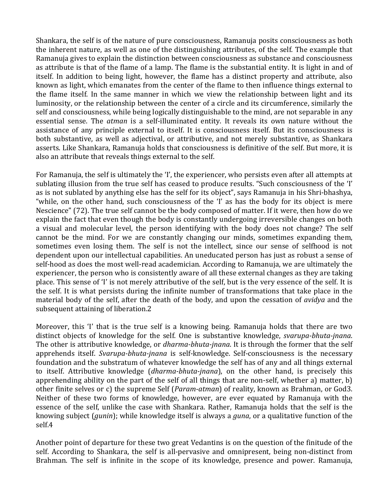Shankara, the self is of the nature of pure consciousness, Ramanuja posits consciousness as both the inherent nature, as well as one of the distinguishing attributes, of the self. The example that Ramanuja gives to explain the distinction between consciousness as substance and consciousness as attribute is that of the flame of a lamp. The flame is the substantial entity. It is light in and of itself. In addition to being light, however, the flame has a distinct property and attribute, also known as light, which emanates from the center of the flame to then influence things external to the flame itself. In the same manner in which we view the relationship between light and its luminosity, or the relationship between the center of a circle and its circumference, similarly the self and consciousness, while being logically distinguishable to the mind, are not separable in any essential sense. The *atman* is a self-illuminated entity. It reveals its own nature without the assistance of any principle external to itself. It is consciousness itself. But its consciousness is both substantive, as well as adjectival, or attributive, and not merely substantive, as Shankara asserts. Like Shankara, Ramanuja holds that consciousness is definitive of the self. But more, it is also an attribute that reveals things external to the self.

For Ramanuja, the self is ultimately the 'I', the experiencer, who persists even after all attempts at sublating illusion from the true self has ceased to produce results. "Such consciousness of the 'I' as is not sublated by anything else has the self for its object", says Ramanuja in his Shri-bhashya, "while, on the other hand, such consciousness of the 'I' as has the body for its object is mere Nescience" (72). The true self cannot be the body composed of matter. If it were, then how do we explain the fact that even though the body is constantly undergoing irreversible changes on both a visual and molecular level, the person identifying with the body does not change? The self cannot be the mind. For we are constantly changing our minds, sometimes expanding them, sometimes even losing them. The self is not the intellect, since our sense of selfhood is not dependent upon our intellectual capabilities. An uneducated person has just as robust a sense of self-hood as does the most well-read academician. According to Ramanuja, we are ultimately the experiencer, the person who is consistently aware of all these external changes as they are taking place. This sense of 'I' is not merely attributive of the self, but is the very essence of the self. It is the self. It is what persists during the infinite number of transformations that take place in the material body of the self, after the death of the body, and upon the cessation of *avidya* and the subsequent attaining of liberation.2

Moreover, this 'I' that is the true self is a knowing being. Ramanuja holds that there are two distinct objects of knowledge for the self. One is substantive knowledge, *svarupa-bhuta-jnana*. The other is attributive knowledge, or *dharma-bhuta-jnana*. It is through the former that the self apprehends itself. *Svarupa-bhuta-jnana* is self-knowledge. Self-consciousness is the necessary foundation and the substratum of whatever knowledge the self has of any and all things external to itself. Attributive knowledge (*dharma-bhuta-jnana*), on the other hand, is precisely this apprehending ability on the part of the self of all things that are non-self, whether a) matter,  $b$ ) other finite selves or c) the supreme Self (*Param-atman*) of reality, known as Brahman, or God3. Neither of these two forms of knowledge, however, are ever equated by Ramanuja with the essence of the self, unlike the case with Shankara. Rather, Ramanuja holds that the self is the knowing subject (*gunin*); while knowledge itself is always a *guna*, or a qualitative function of the self.4 

Another point of departure for these two great Vedantins is on the question of the finitude of the self. According to Shankara, the self is all-pervasive and omnipresent, being non-distinct from Brahman. The self is infinite in the scope of its knowledge, presence and power. Ramanuja,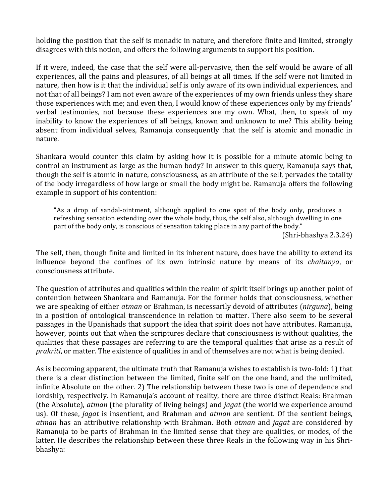holding the position that the self is monadic in nature, and therefore finite and limited, strongly disagrees with this notion, and offers the following arguments to support his position.

If it were, indeed, the case that the self were all-pervasive, then the self would be aware of all experiences, all the pains and pleasures, of all beings at all times. If the self were not limited in nature, then how is it that the individual self is only aware of its own individual experiences, and not that of all beings? I am not even aware of the experiences of my own friends unless they share those experiences with me; and even then, I would know of these experiences only by my friends' verbal testimonies, not because these experiences are my own. What, then, to speak of my inability to know the experiences of all beings, known and unknown to me? This ability being absent from individual selves, Ramanuja consequently that the self is atomic and monadic in nature. 

Shankara would counter this claim by asking how it is possible for a minute atomic being to control an instrument as large as the human body? In answer to this query, Ramanuja says that, though the self is atomic in nature, consciousness, as an attribute of the self, pervades the totality of the body irregardless of how large or small the body might be. Ramanuja offers the following example in support of his contention:

"As a drop of sandal-ointment, although applied to one spot of the body only, produces a refreshing sensation extending over the whole body, thus, the self also, although dwelling in one part of the body only, is conscious of sensation taking place in any part of the body."

(Shri-bhashya 2.3.24)

The self, then, though finite and limited in its inherent nature, does have the ability to extend its influence beyond the confines of its own intrinsic nature by means of its *chaitanya*, or consciousness attribute. 

The question of attributes and qualities within the realm of spirit itself brings up another point of contention between Shankara and Ramanuja. For the former holds that consciousness, whether we are speaking of either *atman* or Brahman, is necessarily devoid of attributes (*nirguna*), being in a position of ontological transcendence in relation to matter. There also seem to be several passages in the Upanishads that support the idea that spirit does not have attributes. Ramanuja, however, points out that when the scriptures declare that consciousness is without qualities, the qualities that these passages are referring to are the temporal qualities that arise as a result of *prakriti*, or matter. The existence of qualities in and of themselves are not what is being denied.

As is becoming apparent, the ultimate truth that Ramanuja wishes to establish is two-fold: 1) that there is a clear distinction between the limited, finite self on the one hand, and the unlimited, infinite Absolute on the other. 2) The relationship between these two is one of dependence and lordship, respectively. In Ramanuja's account of reality, there are three distinct Reals: Brahman (the Absolute), *atman* (the plurality of living beings) and *jagat* (the world we experience around us). Of these, *jagat* is insentient, and Brahman and *atman* are sentient. Of the sentient beings, *atman* has an attributive relationship with Brahman. Both *atman* and *jagat* are considered by Ramanuja to be parts of Brahman in the limited sense that they are qualities, or modes, of the latter. He describes the relationship between these three Reals in the following way in his Shribhashya: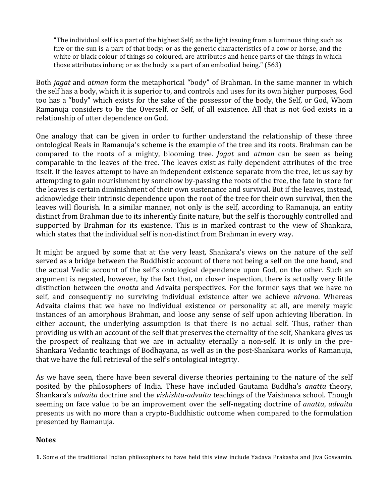"The individual self is a part of the highest Self; as the light issuing from a luminous thing such as fire or the sun is a part of that body; or as the generic characteristics of a cow or horse, and the white or black colour of things so coloured, are attributes and hence parts of the things in which those attributes inhere; or as the body is a part of an embodied being." (563)

Both *jagat* and *atman* form the metaphorical "body" of Brahman. In the same manner in which the self has a body, which it is superior to, and controls and uses for its own higher purposes, God too has a "body" which exists for the sake of the possessor of the body, the Self, or God, Whom Ramanuja considers to be the Overself, or Self, of all existence. All that is not God exists in a relationship of utter dependence on God.

One analogy that can be given in order to further understand the relationship of these three ontological Reals in Ramanuja's scheme is the example of the tree and its roots. Brahman can be compared to the roots of a mighty, blooming tree. *Jagat* and *atman* can be seen as being comparable to the leaves of the tree. The leaves exist as fully dependent attributes of the tree itself. If the leaves attempt to have an independent existence separate from the tree, let us say by attempting to gain nourishment by somehow by-passing the roots of the tree, the fate in store for the leaves is certain diminishment of their own sustenance and survival. But if the leaves, instead, acknowledge their intrinsic dependence upon the root of the tree for their own survival, then the leaves will flourish. In a similar manner, not only is the self, according to Ramanuja, an entity distinct from Brahman due to its inherently finite nature, but the self is thoroughly controlled and supported by Brahman for its existence. This is in marked contrast to the view of Shankara, which states that the individual self is non-distinct from Brahman in every way.

It might be argued by some that at the very least, Shankara's views on the nature of the self served as a bridge between the Buddhistic account of there not being a self on the one hand, and the actual Vedic account of the self's ontological dependence upon God, on the other. Such an argument is negated, however, by the fact that, on closer inspection, there is actually very little distinction between the *anatta* and Advaita perspectives. For the former says that we have no self, and consequently no surviving individual existence after we achieve *nirvana*. Whereas Advaita claims that we have no individual existence or personality at all, are merely mayic instances of an amorphous Brahman, and loose any sense of self upon achieving liberation. In either account, the underlying assumption is that there is no actual self. Thus, rather than providing us with an account of the self that preserves the eternality of the self, Shankara gives us the prospect of realizing that we are in actuality eternally a non-self. It is only in the pre-Shankara Vedantic teachings of Bodhayana, as well as in the post-Shankara works of Ramanuja, that we have the full retrieval of the self's ontological integrity.

As we have seen, there have been several diverse theories pertaining to the nature of the self posited by the philosophers of India. These have included Gautama Buddha's *anatta* theory, Shankara's *advaita* doctrine and the *vishishta-advaita* teachings of the Vaishnava school. Though seeming on face value to be an improvement over the self-negating doctrine of *anatta*, *advaita* presents us with no more than a crypto-Buddhistic outcome when compared to the formulation presented by Ramanuja.

## **Notes**

**1.** Some of the traditional Indian philosophers to have held this view include Yadava Prakasha and Jiva Gosvamin.